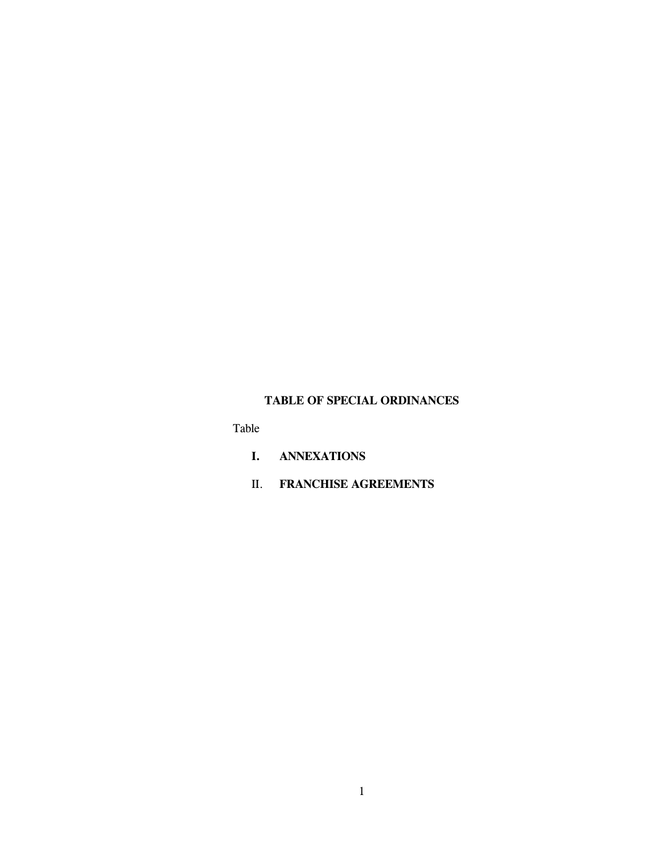## **TABLE OF SPECIAL ORDINANCES**

Table

- **I. ANNEXATIONS**
- II. **FRANCHISE AGREEMENTS**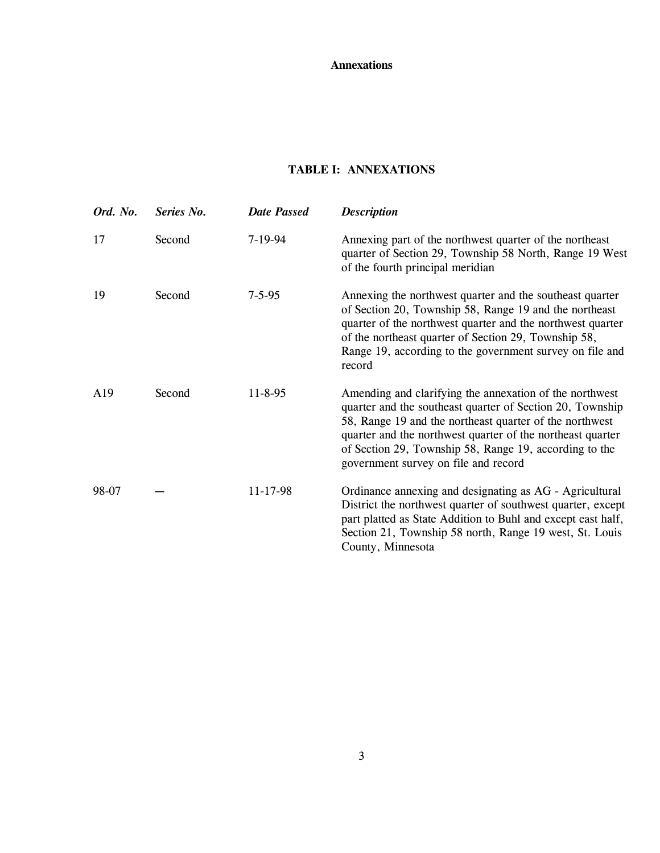## **Annexations**

## **TABLE I: ANNEXATIONS**

| Ord. No.        | Series No. | <b>Date Passed</b> | <b>Description</b>                                                                                                                                                                                                                                                                                                                              |
|-----------------|------------|--------------------|-------------------------------------------------------------------------------------------------------------------------------------------------------------------------------------------------------------------------------------------------------------------------------------------------------------------------------------------------|
| 17              | Second     | $7-19-94$          | Annexing part of the northwest quarter of the northeast<br>quarter of Section 29, Township 58 North, Range 19 West<br>of the fourth principal meridian                                                                                                                                                                                          |
| 19              | Second     | $7 - 5 - 95$       | Annexing the northwest quarter and the southeast quarter<br>of Section 20, Township 58, Range 19 and the northeast<br>quarter of the northwest quarter and the northwest quarter<br>of the northeast quarter of Section 29, Township 58,<br>Range 19, according to the government survey on file and<br>record                                  |
| A <sub>19</sub> | Second     | $11 - 8 - 95$      | Amending and clarifying the annexation of the northwest<br>quarter and the southeast quarter of Section 20, Township<br>58, Range 19 and the northeast quarter of the northwest<br>quarter and the northwest quarter of the northeast quarter<br>of Section 29, Township 58, Range 19, according to the<br>government survey on file and record |
| 98-07           |            | 11-17-98           | Ordinance annexing and designating as AG - Agricultural<br>District the northwest quarter of southwest quarter, except<br>part platted as State Addition to Buhl and except east half,<br>Section 21, Township 58 north, Range 19 west, St. Louis<br>County, Minnesota                                                                          |